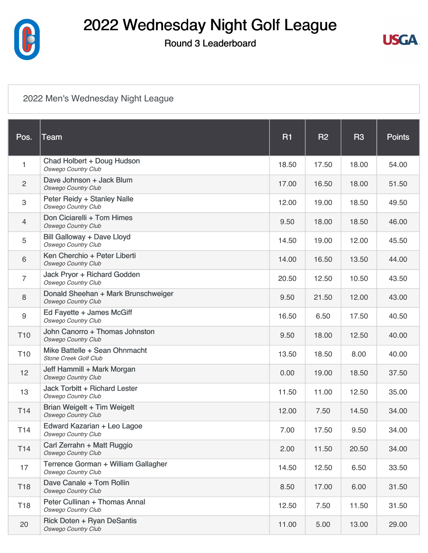

### Round 3 Leaderboard



#### [2022 Men's Wednesday Night League](https://static.golfgenius.com/v2tournaments/8451140897428497013?called_from=&round_index=3)

| Pos.            | Team                                                              | <b>R1</b> | <b>R2</b> | R <sub>3</sub> | <b>Points</b> |
|-----------------|-------------------------------------------------------------------|-----------|-----------|----------------|---------------|
| 1               | Chad Holbert + Doug Hudson<br><b>Oswego Country Club</b>          | 18.50     | 17.50     | 18.00          | 54.00         |
| $\overline{c}$  | Dave Johnson + Jack Blum<br><b>Oswego Country Club</b>            | 17.00     | 16.50     | 18.00          | 51.50         |
| 3               | Peter Reidy + Stanley Nalle<br><b>Oswego Country Club</b>         | 12.00     | 19.00     | 18.50          | 49.50         |
| $\overline{4}$  | Don Ciciarelli + Tom Himes<br><b>Oswego Country Club</b>          | 9.50      | 18.00     | 18.50          | 46.00         |
| 5               | Bill Galloway + Dave Lloyd<br><b>Oswego Country Club</b>          | 14.50     | 19.00     | 12.00          | 45.50         |
| 6               | Ken Cherchio + Peter Liberti<br><b>Oswego Country Club</b>        | 14.00     | 16.50     | 13.50          | 44.00         |
| $\overline{7}$  | Jack Pryor + Richard Godden<br><b>Oswego Country Club</b>         | 20.50     | 12.50     | 10.50          | 43.50         |
| 8               | Donald Sheehan + Mark Brunschweiger<br><b>Oswego Country Club</b> | 9.50      | 21.50     | 12.00          | 43.00         |
| 9               | Ed Fayette + James McGiff<br><b>Oswego Country Club</b>           | 16.50     | 6.50      | 17.50          | 40.50         |
| T <sub>10</sub> | John Canorro + Thomas Johnston<br><b>Oswego Country Club</b>      | 9.50      | 18.00     | 12.50          | 40.00         |
| T <sub>10</sub> | Mike Battelle + Sean Ohnmacht<br><b>Stone Creek Golf Club</b>     | 13.50     | 18.50     | 8.00           | 40.00         |
| 12              | Jeff Hammill + Mark Morgan<br><b>Oswego Country Club</b>          | 0.00      | 19.00     | 18.50          | 37.50         |
| 13              | Jack Torbitt + Richard Lester<br><b>Oswego Country Club</b>       | 11.50     | 11.00     | 12.50          | 35.00         |
| T14             | Brian Weigelt + Tim Weigelt<br>Oswego Country Club                | 12.00     | 7.50      | 14.50          | 34.00         |
| T14             | Edward Kazarian + Leo Lagoe<br><b>Oswego Country Club</b>         | 7.00      | 17.50     | 9.50           | 34.00         |
| T14             | Carl Zerrahn + Matt Ruggio<br><b>Oswego Country Club</b>          | 2.00      | 11.50     | 20.50          | 34.00         |
| 17              | Terrence Gorman + William Gallagher<br><b>Oswego Country Club</b> | 14.50     | 12.50     | 6.50           | 33.50         |
| T18             | Dave Canale + Tom Rollin<br><b>Oswego Country Club</b>            | 8.50      | 17.00     | 6.00           | 31.50         |
| T18             | Peter Cullinan + Thomas Annal<br><b>Oswego Country Club</b>       | 12.50     | 7.50      | 11.50          | 31.50         |
| 20              | <b>Rick Doten + Ryan DeSantis</b><br><b>Oswego Country Club</b>   | 11.00     | 5.00      | 13.00          | 29.00         |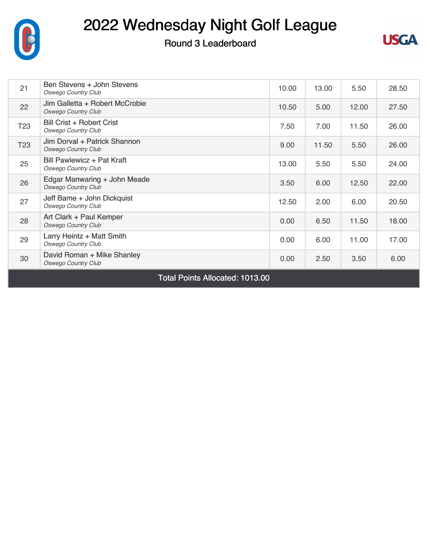

Round 3 Leaderboard



| 21                                            | Ben Stevens + John Stevens<br><b>Oswego Country Club</b>        | 10.00 | 13.00 | 5.50  | 28.50 |  |
|-----------------------------------------------|-----------------------------------------------------------------|-------|-------|-------|-------|--|
| 22                                            | Jim Galletta + Robert McCrobie<br><b>Oswego Country Club</b>    | 10.50 | 5.00  | 12.00 | 27.50 |  |
| T <sub>23</sub>                               | Bill Crist + Robert Crist<br><b>Oswego Country Club</b>         | 7.50  | 7.00  | 11.50 | 26.00 |  |
| T <sub>23</sub>                               | Jim Dorval + Patrick Shannon<br><b>Oswego Country Club</b>      | 9.00  | 11.50 | 5.50  | 26.00 |  |
| 25                                            | <b>Bill Pawlewicz + Pat Kraft</b><br><b>Oswego Country Club</b> | 13.00 | 5.50  | 5.50  | 24.00 |  |
| 26                                            | Edgar Manwaring + John Meade<br><b>Oswego Country Club</b>      | 3.50  | 6.00  | 12.50 | 22.00 |  |
| 27                                            | Jeff Bame + John Dickquist<br><b>Oswego Country Club</b>        | 12.50 | 2.00  | 6.00  | 20.50 |  |
| 28                                            | Art Clark + Paul Kemper<br><b>Oswego Country Club</b>           | 0.00  | 6.50  | 11.50 | 18.00 |  |
| 29                                            | Larry Heintz + Matt Smith<br><b>Oswego Country Club</b>         | 0.00  | 6.00  | 11.00 | 17.00 |  |
| 30                                            | David Roman + Mike Shanley<br><b>Oswego Country Club</b>        | 0.00  | 2.50  | 3.50  | 6.00  |  |
| $T_{\text{old}}$ Definite Allengianal 4040.00 |                                                                 |       |       |       |       |  |

Total Points Allocated: 1013.00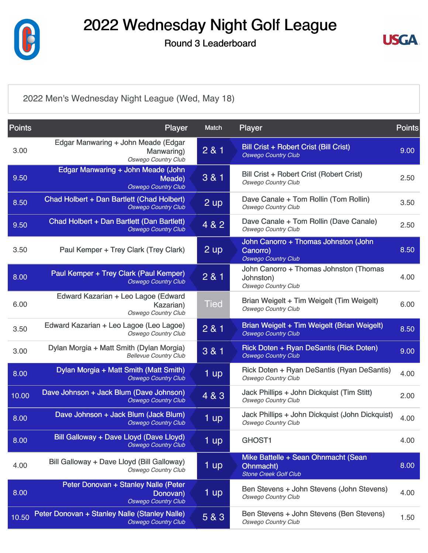

Round 3 Leaderboard



[2022 Men's Wednesday Night League \(Wed, May 18\)](https://static.golfgenius.com/v2tournaments/8451140906689520248?called_from=&round_index=3)

| <b>Points</b> | <b>Player</b>                                                                   | <b>Match</b>      | <b>Player</b>                                                                     | <b>Points</b> |
|---------------|---------------------------------------------------------------------------------|-------------------|-----------------------------------------------------------------------------------|---------------|
| 3.00          | Edgar Manwaring + John Meade (Edgar<br>Manwaring)<br><b>Oswego Country Club</b> | 2 & 1             | Bill Crist + Robert Crist (Bill Crist)<br><b>Oswego Country Club</b>              | 9.00          |
| 9.50          | Edgar Manwaring + John Meade (John<br>Meade)<br><b>Oswego Country Club</b>      | 3 & 1             | Bill Crist + Robert Crist (Robert Crist)<br><b>Oswego Country Club</b>            | 2.50          |
| 8.50          | Chad Holbert + Dan Bartlett (Chad Holbert)<br><b>Oswego Country Club</b>        | $2 \text{ up}$    | Dave Canale + Tom Rollin (Tom Rollin)<br><b>Oswego Country Club</b>               | 3.50          |
| 9.50          | Chad Holbert + Dan Bartlett (Dan Bartlett)<br><b>Oswego Country Club</b>        | 4 & 2             | Dave Canale + Tom Rollin (Dave Canale)<br>Oswego Country Club                     | 2.50          |
| 3.50          | Paul Kemper + Trey Clark (Trey Clark)                                           | $2$ up            | John Canorro + Thomas Johnston (John<br>Canorro)<br><b>Oswego Country Club</b>    | 8.50          |
| 8.00          | Paul Kemper + Trey Clark (Paul Kemper)<br><b>Oswego Country Club</b>            | 2 & 1             | John Canorro + Thomas Johnston (Thomas<br>Johnston)<br><b>Oswego Country Club</b> | 4.00          |
| 6.00          | Edward Kazarian + Leo Lagoe (Edward<br>Kazarian)<br><b>Oswego Country Club</b>  | <b>Tied</b>       | Brian Weigelt + Tim Weigelt (Tim Weigelt)<br><b>Oswego Country Club</b>           | 6.00          |
| 3.50          | Edward Kazarian + Leo Lagoe (Leo Lagoe)<br><b>Oswego Country Club</b>           | 2 & 1             | Brian Weigelt + Tim Weigelt (Brian Weigelt)<br><b>Oswego Country Club</b>         | 8.50          |
| 3.00          | Dylan Morgia + Matt Smith (Dylan Morgia)<br><b>Bellevue Country Club</b>        | 3 & 1             | Rick Doten + Ryan DeSantis (Rick Doten)<br><b>Oswego Country Club</b>             | 9.00          |
| 8.00          | Dylan Morgia + Matt Smith (Matt Smith)<br><b>Oswego Country Club</b>            | 1 up              | Rick Doten + Ryan DeSantis (Ryan DeSantis)<br><b>Oswego Country Club</b>          | 4.00          |
| 10.00         | Dave Johnson + Jack Blum (Dave Johnson)<br><b>Oswego Country Club</b>           | 4 & 3             | Jack Phillips + John Dickquist (Tim Stitt)<br><b>Oswego Country Club</b>          | 2.00          |
| 8.00          | Dave Johnson + Jack Blum (Jack Blum)<br><b>Oswego Country Club</b>              | 1 up              | Jack Phillips + John Dickquist (John Dickquist)<br>Oswego Country Club            | 4.00          |
| 8.00          | Bill Galloway + Dave Lloyd (Dave Lloyd)<br><b>Oswego Country Club</b>           | 1 up              | <b>GHOST1</b>                                                                     | 4.00          |
| 4.00          | Bill Galloway + Dave Lloyd (Bill Galloway)<br><b>Oswego Country Club</b>        | $1 \overline{up}$ | Mike Battelle + Sean Ohnmacht (Sean<br>Ohnmacht)<br><b>Stone Creek Golf Club</b>  | 8.00          |
| 8.00          | Peter Donovan + Stanley Nalle (Peter<br>Donovan)<br><b>Oswego Country Club</b>  | 1 up              | Ben Stevens + John Stevens (John Stevens)<br><b>Oswego Country Club</b>           | 4.00          |
| 10.50         | Peter Donovan + Stanley Nalle (Stanley Nalle)<br><b>Oswego Country Club</b>     | 5 & 3             | Ben Stevens + John Stevens (Ben Stevens)<br><b>Oswego Country Club</b>            | 1.50          |